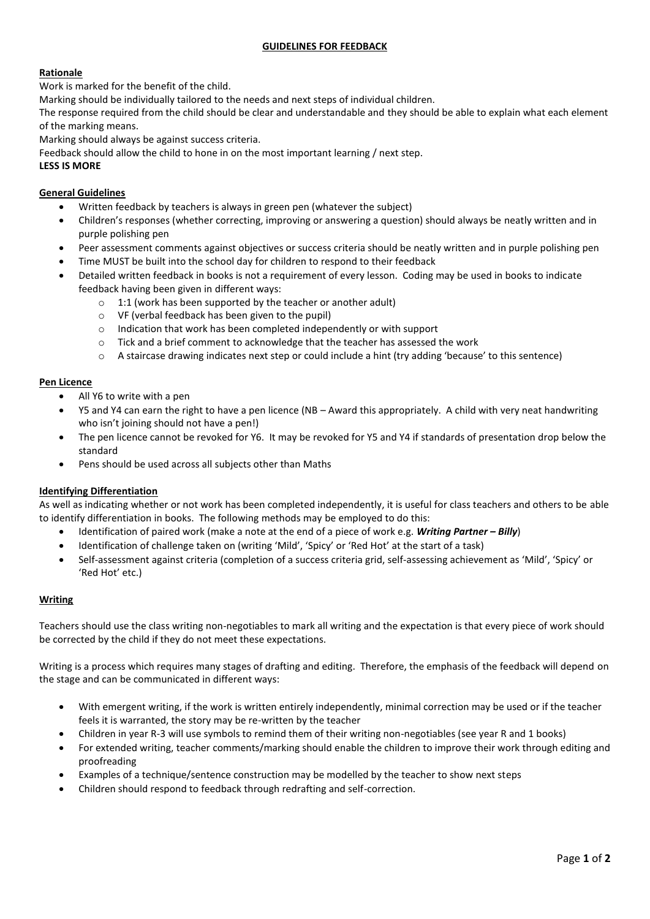# **GUIDELINES FOR FEEDBACK**

# **Rationale**

Work is marked for the benefit of the child.

Marking should be individually tailored to the needs and next steps of individual children.

The response required from the child should be clear and understandable and they should be able to explain what each element of the marking means.

Marking should always be against success criteria.

Feedback should allow the child to hone in on the most important learning / next step.

# **LESS IS MORE**

# **General Guidelines**

- Written feedback by teachers is always in green pen (whatever the subject)
- Children's responses (whether correcting, improving or answering a question) should always be neatly written and in purple polishing pen
- Peer assessment comments against objectives or success criteria should be neatly written and in purple polishing pen
- Time MUST be built into the school day for children to respond to their feedback
- Detailed written feedback in books is not a requirement of every lesson. Coding may be used in books to indicate feedback having been given in different ways:
	- o 1:1 (work has been supported by the teacher or another adult)
	- o VF (verbal feedback has been given to the pupil)
	- o Indication that work has been completed independently or with support
	- o Tick and a brief comment to acknowledge that the teacher has assessed the work
	- o A staircase drawing indicates next step or could include a hint (try adding 'because' to this sentence)

## **Pen Licence**

- All Y6 to write with a pen
- Y5 and Y4 can earn the right to have a pen licence (NB Award this appropriately. A child with very neat handwriting who isn't joining should not have a pen!)
- The pen licence cannot be revoked for Y6. It may be revoked for Y5 and Y4 if standards of presentation drop below the standard
- Pens should be used across all subjects other than Maths

## **Identifying Differentiation**

As well as indicating whether or not work has been completed independently, it is useful for class teachers and others to be able to identify differentiation in books. The following methods may be employed to do this:

- Identification of paired work (make a note at the end of a piece of work e.g. *Writing Partner – Billy*)
- Identification of challenge taken on (writing 'Mild', 'Spicy' or 'Red Hot' at the start of a task)
- Self-assessment against criteria (completion of a success criteria grid, self-assessing achievement as 'Mild', 'Spicy' or 'Red Hot' etc.)

# **Writing**

Teachers should use the class writing non-negotiables to mark all writing and the expectation is that every piece of work should be corrected by the child if they do not meet these expectations.

Writing is a process which requires many stages of drafting and editing. Therefore, the emphasis of the feedback will depend on the stage and can be communicated in different ways:

- With emergent writing, if the work is written entirely independently, minimal correction may be used or if the teacher feels it is warranted, the story may be re-written by the teacher
- Children in year R-3 will use symbols to remind them of their writing non-negotiables (see year R and 1 books)
- For extended writing, teacher comments/marking should enable the children to improve their work through editing and proofreading
- Examples of a technique/sentence construction may be modelled by the teacher to show next steps
- Children should respond to feedback through redrafting and self-correction.